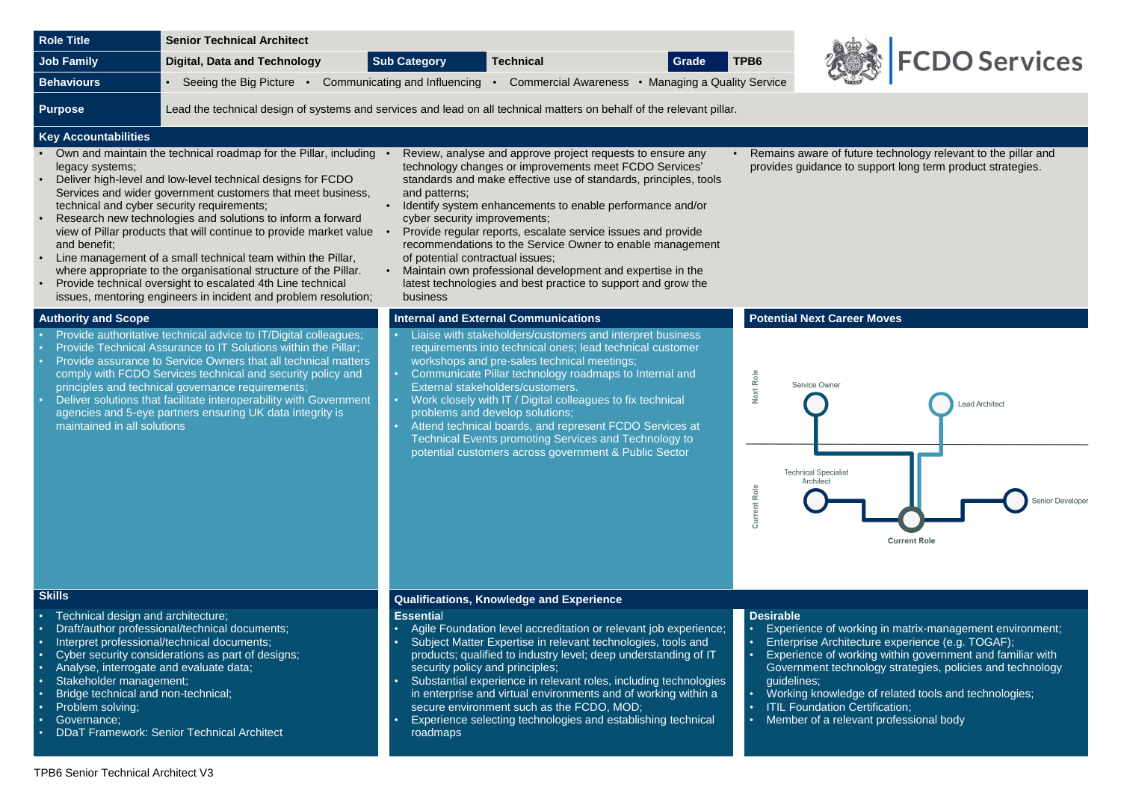

uture technology relevant to the pillar and p support long term product strategies.



erking in matrix-management environment; ecture experience (e.g. TOGAF); rking within government and familiar with  $n$ nology strategies, policies and technology

dge of related tools and technologies; Certification; **Commedion,**<br>vant professional body

| <b>Role Title</b>                                                                                                                                                                                                         | <b>Senior Technical Architect</b>                                                                                                                                                                                                                                                                                                                                                                                                                                                                                                                                                                                                                       |                                                                                                            |                                                                                                                                                                                                                                                                                                                                                                                                                                                                                                                                                   |       |                                 |                                                                                                                                                                                                                         |
|---------------------------------------------------------------------------------------------------------------------------------------------------------------------------------------------------------------------------|---------------------------------------------------------------------------------------------------------------------------------------------------------------------------------------------------------------------------------------------------------------------------------------------------------------------------------------------------------------------------------------------------------------------------------------------------------------------------------------------------------------------------------------------------------------------------------------------------------------------------------------------------------|------------------------------------------------------------------------------------------------------------|---------------------------------------------------------------------------------------------------------------------------------------------------------------------------------------------------------------------------------------------------------------------------------------------------------------------------------------------------------------------------------------------------------------------------------------------------------------------------------------------------------------------------------------------------|-------|---------------------------------|-------------------------------------------------------------------------------------------------------------------------------------------------------------------------------------------------------------------------|
| <b>Job Family</b>                                                                                                                                                                                                         | <b>Digital, Data and Technology</b>                                                                                                                                                                                                                                                                                                                                                                                                                                                                                                                                                                                                                     | <b>Sub Category</b>                                                                                        | <b>Technical</b>                                                                                                                                                                                                                                                                                                                                                                                                                                                                                                                                  | Grade | TPB6                            |                                                                                                                                                                                                                         |
| <b>Behaviours</b>                                                                                                                                                                                                         | Seeing the Big Picture •<br>$\bullet$                                                                                                                                                                                                                                                                                                                                                                                                                                                                                                                                                                                                                   | Communicating and Influencing                                                                              | Commercial Awareness • Managing a Quality Service                                                                                                                                                                                                                                                                                                                                                                                                                                                                                                 |       |                                 |                                                                                                                                                                                                                         |
|                                                                                                                                                                                                                           |                                                                                                                                                                                                                                                                                                                                                                                                                                                                                                                                                                                                                                                         |                                                                                                            |                                                                                                                                                                                                                                                                                                                                                                                                                                                                                                                                                   |       |                                 |                                                                                                                                                                                                                         |
| <b>Purpose</b>                                                                                                                                                                                                            | Lead the technical design of systems and services and lead on all technical matters on behalf of the relevant pillar.                                                                                                                                                                                                                                                                                                                                                                                                                                                                                                                                   |                                                                                                            |                                                                                                                                                                                                                                                                                                                                                                                                                                                                                                                                                   |       |                                 |                                                                                                                                                                                                                         |
| <b>Key Accountabilities</b>                                                                                                                                                                                               |                                                                                                                                                                                                                                                                                                                                                                                                                                                                                                                                                                                                                                                         |                                                                                                            |                                                                                                                                                                                                                                                                                                                                                                                                                                                                                                                                                   |       |                                 |                                                                                                                                                                                                                         |
| legacy systems;<br>$\bullet$<br>$\bullet$<br>and benefit;<br>$\bullet$<br>$\bullet$                                                                                                                                       | Own and maintain the technical roadmap for the Pillar, including<br>Deliver high-level and low-level technical designs for FCDO<br>Services and wider government customers that meet business,<br>technical and cyber security requirements;<br>Research new technologies and solutions to inform a forward<br>view of Pillar products that will continue to provide market value<br>Line management of a small technical team within the Pillar,<br>where appropriate to the organisational structure of the Pillar.<br>Provide technical oversight to escalated 4th Line technical<br>issues, mentoring engineers in incident and problem resolution; | and patterns;<br>cyber security improvements;<br>of potential contractual issues;<br>$\bullet$<br>business | Review, analyse and approve project requests to ensure any<br>technology changes or improvements meet FCDO Services'<br>standards and make effective use of standards, principles, tools<br>Identify system enhancements to enable performance and/or<br>Provide regular reports, escalate service issues and provide<br>recommendations to the Service Owner to enable management<br>Maintain own professional development and expertise in the<br>latest technologies and best practice to support and grow the                                 |       |                                 | Remains aware of future techr<br>provides guidance to support I                                                                                                                                                         |
| <b>Authority and Scope</b>                                                                                                                                                                                                |                                                                                                                                                                                                                                                                                                                                                                                                                                                                                                                                                                                                                                                         |                                                                                                            | <b>Internal and External Communications</b>                                                                                                                                                                                                                                                                                                                                                                                                                                                                                                       |       |                                 | <b>Potential Next Career Moves</b>                                                                                                                                                                                      |
| maintained in all solutions                                                                                                                                                                                               | Provide authoritative technical advice to IT/Digital colleagues;<br>Provide Technical Assurance to IT Solutions within the Pillar;<br>Provide assurance to Service Owners that all technical matters<br>comply with FCDO Services technical and security policy and<br>principles and technical governance requirements;<br>Deliver solutions that facilitate interoperability with Government<br>agencies and 5-eye partners ensuring UK data integrity is                                                                                                                                                                                             |                                                                                                            | Liaise with stakeholders/customers and interpret business<br>requirements into technical ones; lead technical customer<br>workshops and pre-sales technical meetings;<br>Communicate Pillar technology roadmaps to Internal and<br>External stakeholders/customers.<br>Work closely with IT / Digital colleagues to fix technical<br>problems and develop solutions;<br>Attend technical boards, and represent FCDO Services at<br>Technical Events promoting Services and Technology to<br>potential customers across government & Public Sector |       | Next Role<br>Current Role       | Service Owner<br><b>Technical Specialist</b><br>Architect<br>Cur                                                                                                                                                        |
| <b>Skills</b>                                                                                                                                                                                                             |                                                                                                                                                                                                                                                                                                                                                                                                                                                                                                                                                                                                                                                         |                                                                                                            | <b>Qualifications, Knowledge and Experience</b>                                                                                                                                                                                                                                                                                                                                                                                                                                                                                                   |       |                                 |                                                                                                                                                                                                                         |
| Technical design and architecture;<br>$\bullet$<br>$\bullet$<br>Analyse, interrogate and evaluate data;<br>$\bullet$<br>Stakeholder management;<br>Bridge technical and non-technical;<br>Problem solving;<br>Governance; | Draft/author professional/technical documents;<br>Interpret professional/technical documents;<br>Cyber security considerations as part of designs;<br><b>DDaT Framework: Senior Technical Architect</b>                                                                                                                                                                                                                                                                                                                                                                                                                                                 | <b>Essential</b><br>security policy and principles;<br>roadmaps                                            | Agile Foundation level accreditation or relevant job experience;<br>Subject Matter Expertise in relevant technologies, tools and<br>products; qualified to industry level; deep understanding of IT<br>Substantial experience in relevant roles, including technologies<br>in enterprise and virtual environments and of working within a<br>secure environment such as the FCDO, MOD;<br>Experience selecting technologies and establishing technical                                                                                            |       | <b>Desirable</b><br>guidelines; | Experience of working in m<br>Enterprise Architecture exp<br>Experience of working with<br>Government technology str<br>Working knowledge of relat<br><b>ITIL Foundation Certificatio</b><br>Member of a relevant profe |